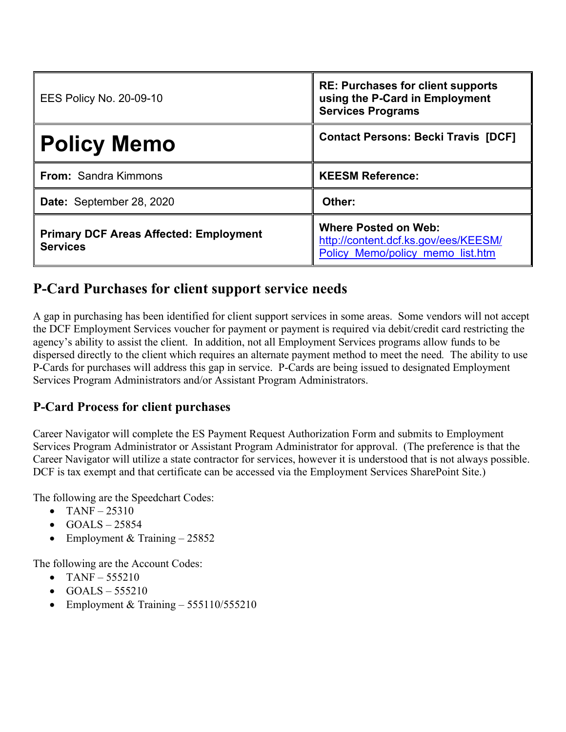| <b>EES Policy No. 20-09-10</b>                                   | <b>RE: Purchases for client supports</b><br>using the P-Card in Employment<br><b>Services Programs</b>  |
|------------------------------------------------------------------|---------------------------------------------------------------------------------------------------------|
| <b>Policy Memo</b>                                               | <b>Contact Persons: Becki Travis [DCF]</b>                                                              |
| <b>From: Sandra Kimmons</b>                                      | <b>KEESM Reference:</b>                                                                                 |
| Date: September 28, 2020                                         | Other:                                                                                                  |
| <b>Primary DCF Areas Affected: Employment</b><br><b>Services</b> | <b>Where Posted on Web:</b><br>http://content.dcf.ks.gov/ees/KEESM/<br>Policy Memo/policy memo list.htm |

## **P-Card Purchases for client support service needs**

A gap in purchasing has been identified for client support services in some areas. Some vendors will not accept the DCF Employment Services voucher for payment or payment is required via debit/credit card restricting the agency's ability to assist the client. In addition, not all Employment Services programs allow funds to be dispersed directly to the client which requires an alternate payment method to meet the need*.* The ability to use P-Cards for purchases will address this gap in service. P-Cards are being issued to designated Employment Services Program Administrators and/or Assistant Program Administrators.

## **P-Card Process for client purchases**

Career Navigator will complete the ES Payment Request Authorization Form and submits to Employment Services Program Administrator or Assistant Program Administrator for approval. (The preference is that the Career Navigator will utilize a state contractor for services, however it is understood that is not always possible. DCF is tax exempt and that certificate can be accessed via the Employment Services SharePoint Site.)

The following are the Speedchart Codes:

- TANF $-25310$
- $\bullet$  GOALS 25854
- Employment & Training  $-25852$

The following are the Account Codes:

- TANF  $555210$
- $\bullet$  GOALS 555210
- Employment & Training 555110/555210